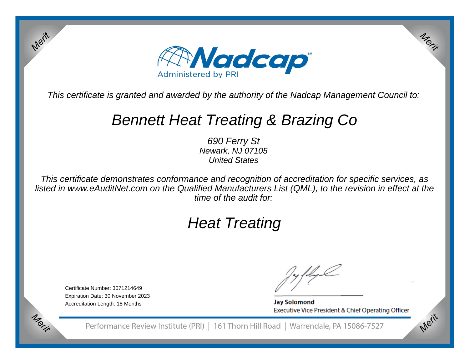

This certificate is granted and awarded by the authority of the Nadcap Management Council to:

## Bennett Heat Treating & Brazing Co

690 Ferry St Newark, NJ 07105United States

This certificate demonstrates conformance and recognition of accreditation for specific services, as listed in www.eAuditNet.com on the Qualified Manufacturers List (QML), to the revision in effect at thetime of the audit for:

# Heat Treating

Certificate Number: 3071214649 Expiration Date: 30 November 2023Accreditation Length: 18 Months

Merit

Morie

**Jay Solomond** Executive Vice President & Chief Operating Officer Merit

Merit

Performance Review Institute (PRI) | 161 Thorn Hill Road | Warrendale, PA 15086-7527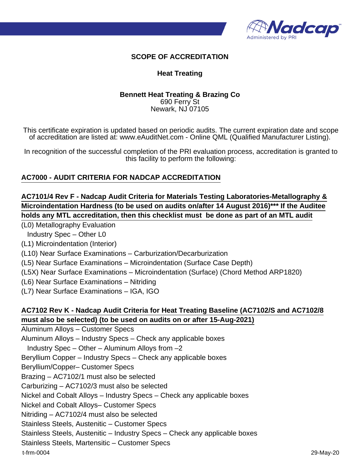

#### **SCOPE OF ACCREDITATION**

#### **Heat Treating**

#### **Bennett Heat Treating & Brazing Co** 690 Ferry St Newark, NJ 07105

This certificate expiration is updated based on periodic audits. The current expiration date and scope of accreditation are listed at: www.eAuditNet.com - Online QML (Qualified Manufacturer Listing).

In recognition of the successful completion of the PRI evaluation process, accreditation is granted to this facility to perform the following:

#### **AC7000 - AUDIT CRITERIA FOR NADCAP ACCREDITATION**

## **AC7101/4 Rev F - Nadcap Audit Criteria for Materials Testing Laboratories-Metallography & Microindentation Hardness (to be used on audits on/after 14 August 2016)\*\*\* If the Auditee holds any MTL accreditation, then this checklist must be done as part of an MTL audit**

(L0) Metallography Evaluation

Industry Spec – Other L0

(L1) Microindentation (Interior)

(L10) Near Surface Examinations – Carburization/Decarburization

(L5) Near Surface Examinations – Microindentation (Surface Case Depth)

(L5X) Near Surface Examinations – Microindentation (Surface) (Chord Method ARP1820)

(L6) Near Surface Examinations – Nitriding

(L7) Near Surface Examinations – IGA, IGO

#### **AC7102 Rev K - Nadcap Audit Criteria for Heat Treating Baseline (AC7102/S and AC7102/8 must also be selected) (to be used on audits on or after 15-Aug-2021)**

Aluminum Alloys – Customer Specs Aluminum Alloys – Industry Specs – Check any applicable boxes Industry Spec – Other – Aluminum Alloys from –2 Beryllium Copper – Industry Specs – Check any applicable boxes Beryllium/Copper– Customer Specs Brazing – AC7102/1 must also be selected Carburizing – AC7102/3 must also be selected Nickel and Cobalt Alloys – Industry Specs – Check any applicable boxes Nickel and Cobalt Alloys– Customer Specs Nitriding – AC7102/4 must also be selected Stainless Steels, Austenitic – Customer Specs Stainless Steels, Austenitic – Industry Specs – Check any applicable boxes Stainless Steels, Martensitic – Customer Specs

t-frm-0004 29-May-20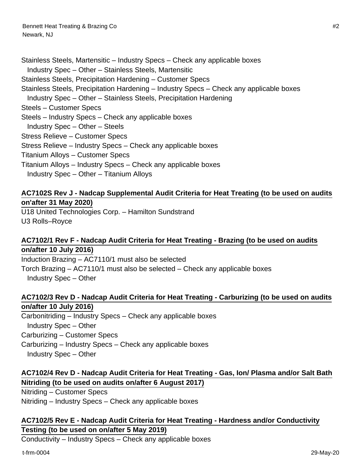Stainless Steels, Martensitic – Industry Specs – Check any applicable boxes Industry Spec – Other – Stainless Steels, Martensitic Stainless Steels, Precipitation Hardening – Customer Specs Stainless Steels, Precipitation Hardening – Industry Specs – Check any applicable boxes Industry Spec – Other – Stainless Steels, Precipitation Hardening Steels – Customer Specs Steels – Industry Specs – Check any applicable boxes Industry Spec – Other – Steels Stress Relieve – Customer Specs Stress Relieve – Industry Specs – Check any applicable boxes Titanium Alloys – Customer Specs Titanium Alloys – Industry Specs – Check any applicable boxes Industry Spec – Other – Titanium Alloys

#### **AC7102S Rev J - Nadcap Supplemental Audit Criteria for Heat Treating (to be used on audits on'after 31 May 2020)**

U18 United Technologies Corp. – Hamilton Sundstrand U3 Rolls–Royce

#### **AC7102/1 Rev F - Nadcap Audit Criteria for Heat Treating - Brazing (to be used on audits on/after 10 July 2016)**

Induction Brazing – AC7110/1 must also be selected Torch Brazing – AC7110/1 must also be selected – Check any applicable boxes Industry Spec – Other

## **AC7102/3 Rev D - Nadcap Audit Criteria for Heat Treating - Carburizing (to be used on audits on/after 10 July 2016)**

Carbonitriding – Industry Specs – Check any applicable boxes Industry Spec – Other Carburizing – Customer Specs Carburizing – Industry Specs – Check any applicable boxes Industry Spec – Other

## **AC7102/4 Rev D - Nadcap Audit Criteria for Heat Treating - Gas, Ion/ Plasma and/or Salt Bath Nitriding (to be used on audits on/after 6 August 2017)**

Nitriding – Customer Specs Nitriding – Industry Specs – Check any applicable boxes

## **AC7102/5 Rev E - Nadcap Audit Criteria for Heat Treating - Hardness and/or Conductivity Testing (to be used on on/after 5 May 2019)**

Conductivity – Industry Specs – Check any applicable boxes